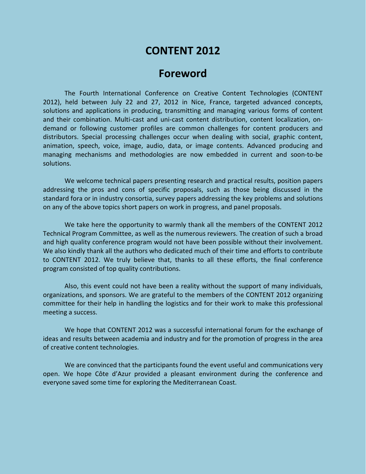# **CONTENT 2012**

## **Foreword**

The Fourth International Conference on Creative Content Technologies (CONTENT 2012), held between July 22 and 27, 2012 in Nice, France, targeted advanced concepts, solutions and applications in producing, transmitting and managing various forms of content and their combination. Multi-cast and uni-cast content distribution, content localization, ondemand or following customer profiles are common challenges for content producers and distributors. Special processing challenges occur when dealing with social, graphic content, animation, speech, voice, image, audio, data, or image contents. Advanced producing and managing mechanisms and methodologies are now embedded in current and soon-to-be solutions.

We welcome technical papers presenting research and practical results, position papers addressing the pros and cons of specific proposals, such as those being discussed in the standard fora or in industry consortia, survey papers addressing the key problems and solutions on any of the above topics short papers on work in progress, and panel proposals.

We take here the opportunity to warmly thank all the members of the CONTENT 2012 Technical Program Committee, as well as the numerous reviewers. The creation of such a broad and high quality conference program would not have been possible without their involvement. We also kindly thank all the authors who dedicated much of their time and efforts to contribute to CONTENT 2012. We truly believe that, thanks to all these efforts, the final conference program consisted of top quality contributions.

Also, this event could not have been a reality without the support of many individuals, organizations, and sponsors. We are grateful to the members of the CONTENT 2012 organizing committee for their help in handling the logistics and for their work to make this professional meeting a success.

We hope that CONTENT 2012 was a successful international forum for the exchange of ideas and results between academia and industry and for the promotion of progress in the area of creative content technologies.

We are convinced that the participants found the event useful and communications very open. We hope Côte d'Azur provided a pleasant environment during the conference and everyone saved some time for exploring the Mediterranean Coast.